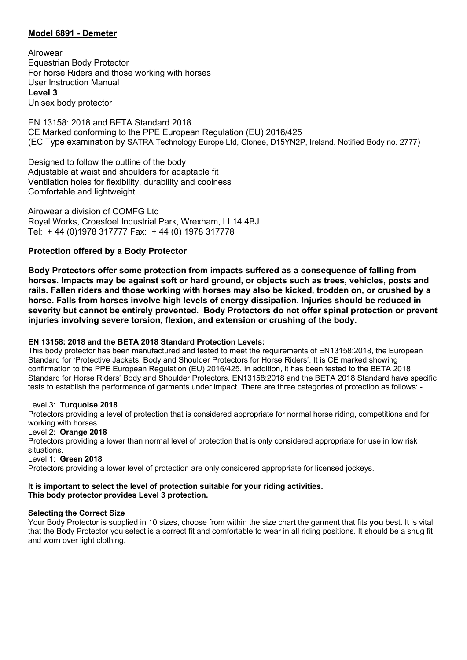# **Model 6891 - Demeter**

Airowear Equestrian Body Protector For horse Riders and those working with horses User Instruction Manual **Level 3** Unisex body protector

EN 13158: 2018 and BETA Standard 2018 CE Marked conforming to the PPE European Regulation (EU) 2016/425 (EC Type examination by SATRA Technology Europe Ltd, Clonee, D15YN2P, Ireland. Notified Body no. 2777)

Designed to follow the outline of the body Adjustable at waist and shoulders for adaptable fit Ventilation holes for flexibility, durability and coolness Comfortable and lightweight

Airowear a division of COMFG Ltd Royal Works, Croesfoel Industrial Park, Wrexham, LL14 4BJ Tel: + 44 (0)1978 317777 Fax: + 44 (0) 1978 317778

# **Protection offered by a Body Protector**

**Body Protectors offer some protection from impacts suffered as a consequence of falling from horses. Impacts may be against soft or hard ground, or objects such as trees, vehicles, posts and rails. Fallen riders and those working with horses may also be kicked, trodden on, or crushed by a horse. Falls from horses involve high levels of energy dissipation. Injuries should be reduced in severity but cannot be entirely prevented. Body Protectors do not offer spinal protection or prevent injuries involving severe torsion, flexion, and extension or crushing of the body.**

### **EN 13158: 2018 and the BETA 2018 Standard Protection Levels:**

This body protector has been manufactured and tested to meet the requirements of EN13158:2018, the European Standard for 'Protective Jackets, Body and Shoulder Protectors for Horse Riders'. It is CE marked showing confirmation to the PPE European Regulation (EU) 2016/425. In addition, it has been tested to the BETA 2018 Standard for Horse Riders' Body and Shoulder Protectors. EN13158:2018 and the BETA 2018 Standard have specific tests to establish the performance of garments under impact. There are three categories of protection as follows: -

### Level 3: **Turquoise 2018**

Protectors providing a level of protection that is considered appropriate for normal horse riding, competitions and for working with horses.

### Level 2: **Orange 2018**

Protectors providing a lower than normal level of protection that is only considered appropriate for use in low risk situations.

Level 1: **Green 2018**

Protectors providing a lower level of protection are only considered appropriate for licensed jockeys.

#### **It is important to select the level of protection suitable for your riding activities. This body protector provides Level 3 protection.**

### **Selecting the Correct Size**

Your Body Protector is supplied in 10 sizes, choose from within the size chart the garment that fits **you** best. It is vital that the Body Protector you select is a correct fit and comfortable to wear in all riding positions. It should be a snug fit and worn over light clothing.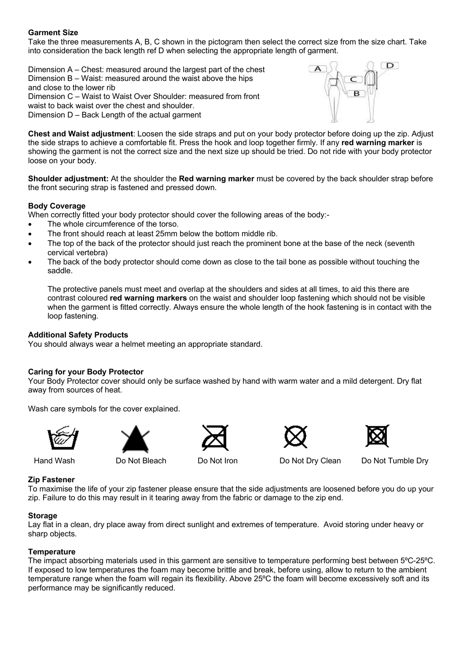# **Garment Size**

Take the three measurements A, B, C shown in the pictogram then select the correct size from the size chart. Take into consideration the back length ref D when selecting the appropriate length of garment.

Dimension A – Chest: measured around the largest part of the chest Dimension B – Waist: measured around the waist above the hips and close to the lower rib Dimension C – Waist to Waist Over Shoulder: measured from front waist to back waist over the chest and shoulder. Dimension D – Back Length of the actual garment



**Chest and Waist adjustment**: Loosen the side straps and put on your body protector before doing up the zip. Adjust the side straps to achieve a comfortable fit. Press the hook and loop together firmly. If any **red warning marker** is showing the garment is not the correct size and the next size up should be tried. Do not ride with your body protector loose on your body.

**Shoulder adjustment:** At the shoulder the **Red warning marker** must be covered by the back shoulder strap before the front securing strap is fastened and pressed down.

### **Body Coverage**

When correctly fitted your body protector should cover the following areas of the body:-

- The whole circumference of the torso.
- The front should reach at least 25mm below the bottom middle rib.
- The top of the back of the protector should just reach the prominent bone at the base of the neck (seventh cervical vertebra)
- The back of the body protector should come down as close to the tail bone as possible without touching the saddle.

The protective panels must meet and overlap at the shoulders and sides at all times, to aid this there are contrast coloured **red warning markers** on the waist and shoulder loop fastening which should not be visible when the garment is fitted correctly. Always ensure the whole length of the hook fastening is in contact with the loop fastening.

### **Additional Safety Products**

You should always wear a helmet meeting an appropriate standard.

### **Caring for your Body Protector**

Your Body Protector cover should only be surface washed by hand with warm water and a mild detergent. Dry flat away from sources of heat.

Wash care symbols for the cover explained.











Hand Wash Do Not Bleach Do Not Iron Do Not Dry Clean Do Not Tumble Dry

### **Zip Fastener**

To maximise the life of your zip fastener please ensure that the side adjustments are loosened before you do up your zip. Failure to do this may result in it tearing away from the fabric or damage to the zip end.

### **Storage**

Lay flat in a clean, dry place away from direct sunlight and extremes of temperature. Avoid storing under heavy or sharp objects.

### **Temperature**

The impact absorbing materials used in this garment are sensitive to temperature performing best between 5ºC-25ºC. If exposed to low temperatures the foam may become brittle and break, before using, allow to return to the ambient temperature range when the foam will regain its flexibility. Above 25ºC the foam will become excessively soft and its performance may be significantly reduced.